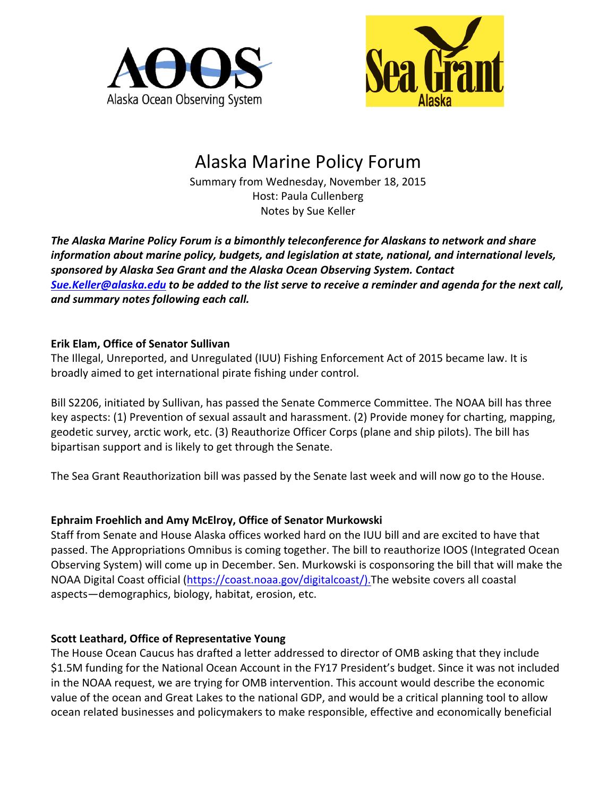



# Alaska Marine Policy Forum

Summary from Wednesday, November 18, 2015 Host: Paula Cullenberg Notes by Sue Keller

The Alaska Marine Policy Forum is a bimonthly teleconference for Alaskans to network and share *information about marine policy, budgets, and legislation at state, national, and international levels,* sponsored by Alaska Sea Grant and the Alaska Ocean Observing System. Contact *[Sue.Keller@alaska.edu](mailto:Sue.Keller@alaska.edu) to be added to the list serve to receive a reminder and agenda for the next call,* and summary notes following each call.

### **Erik Elam, Office of Senator Sullivan**

The Illegal, Unreported, and Unregulated (IUU) Fishing Enforcement Act of 2015 became law. It is broadly aimed to get international pirate fishing under control.

Bill S2206, initiated by Sullivan, has passed the Senate Commerce Committee. The NOAA bill has three key aspects: (1) Prevention of sexual assault and harassment. (2) Provide money for charting, mapping, geodetic survey, arctic work, etc. (3) Reauthorize Officer Corps (plane and ship pilots). The bill has bipartisan support and is likely to get through the Senate.

The Sea Grant Reauthorization bill was passed by the Senate last week and will now go to the House.

# **Ephraim Froehlich and Amy McElroy, Office of Senator Murkowski**

Staff from Senate and House Alaska offices worked hard on the IUU bill and are excited to have that passed. The Appropriations Omnibus is coming together. The bill to reauthorize IOOS (Integrated Ocean Observing System) will come up in December. Sen. Murkowski is cosponsoring the bill that will make the NOAA Digital Coast official [\(https://coast.noaa.gov/digitalcoast/\).](https://coast.noaa.gov/digitalcoast/).)The website covers all coastal aspects—demographics, biology, habitat, erosion, etc.

# **Scott Leathard, Office of Representative Young**

The House Ocean Caucus has drafted a letter addressed to director of OMB asking that they include \$1.5M funding for the National Ocean Account in the FY17 President's budget. Since it was not included in the NOAA request, we are trying for OMB intervention. This account would describe the economic value of the ocean and Great Lakes to the national GDP, and would be a critical planning tool to allow ocean related businesses and policymakers to make responsible, effective and economically beneficial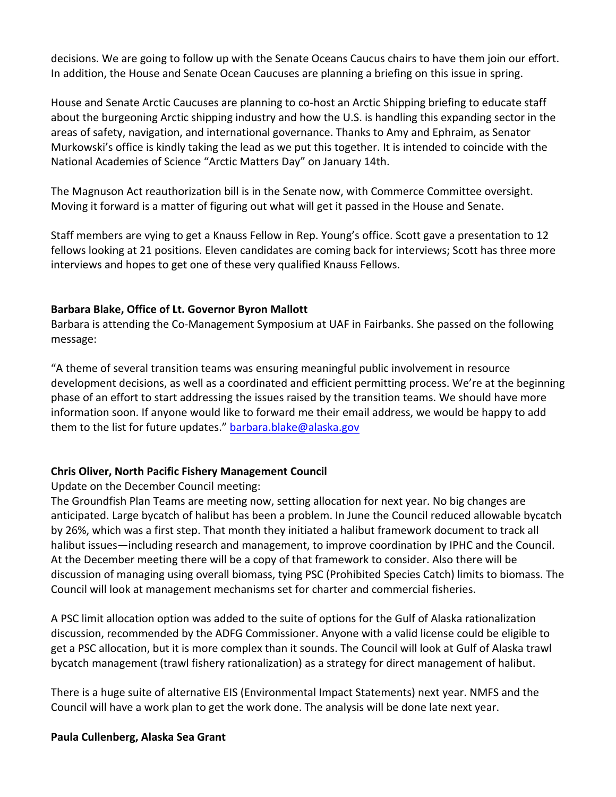decisions. We are going to follow up with the Senate Oceans Caucus chairs to have them join our effort. In addition, the House and Senate Ocean Caucuses are planning a briefing on this issue in spring.

House and Senate Arctic Caucuses are planning to co-host an Arctic Shipping briefing to educate staff about the burgeoning Arctic shipping industry and how the U.S. is handling this expanding sector in the areas of safety, navigation, and international governance. Thanks to Amy and Ephraim, as Senator Murkowski's office is kindly taking the lead as we put this together. It is intended to coincide with the National Academies of Science "Arctic Matters Day" on January 14th.

The Magnuson Act reauthorization bill is in the Senate now, with Commerce Committee oversight. Moving it forward is a matter of figuring out what will get it passed in the House and Senate.

Staff members are vying to get a Knauss Fellow in Rep. Young's office. Scott gave a presentation to 12 fellows looking at 21 positions. Eleven candidates are coming back for interviews; Scott has three more interviews and hopes to get one of these very qualified Knauss Fellows.

#### **Barbara Blake, Office of Lt. Governor Byron Mallott**

Barbara is attending the Co-Management Symposium at UAF in Fairbanks. She passed on the following message: 

"A theme of several transition teams was ensuring meaningful public involvement in resource development decisions, as well as a coordinated and efficient permitting process. We're at the beginning phase of an effort to start addressing the issues raised by the transition teams. We should have more information soon. If anyone would like to forward me their email address, we would be happy to add them to the list for future updates." barbara.blake@alaska.gov

### **Chris Oliver, North Pacific Fishery Management Council**

Update on the December Council meeting:

The Groundfish Plan Teams are meeting now, setting allocation for next year. No big changes are anticipated. Large bycatch of halibut has been a problem. In June the Council reduced allowable bycatch by 26%, which was a first step. That month they initiated a halibut framework document to track all halibut issues—including research and management, to improve coordination by IPHC and the Council. At the December meeting there will be a copy of that framework to consider. Also there will be discussion of managing using overall biomass, tying PSC (Prohibited Species Catch) limits to biomass. The Council will look at management mechanisms set for charter and commercial fisheries.

A PSC limit allocation option was added to the suite of options for the Gulf of Alaska rationalization discussion, recommended by the ADFG Commissioner. Anyone with a valid license could be eligible to get a PSC allocation, but it is more complex than it sounds. The Council will look at Gulf of Alaska trawl bycatch management (trawl fishery rationalization) as a strategy for direct management of halibut.

There is a huge suite of alternative EIS (Environmental Impact Statements) next year. NMFS and the Council will have a work plan to get the work done. The analysis will be done late next year.

#### **Paula Cullenberg, Alaska Sea Grant**